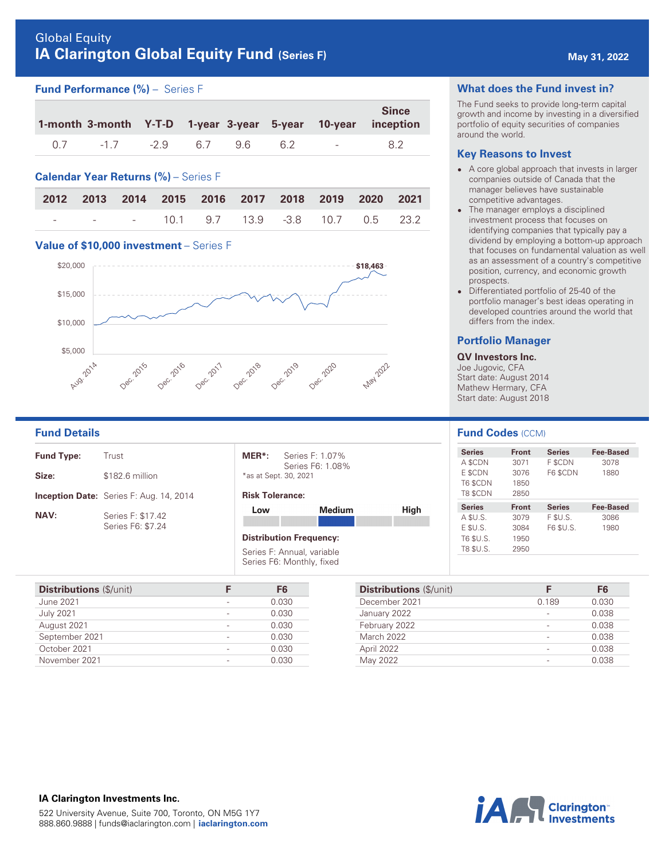# Global Equity **IA Clarington Global Equity Fund** (Series F) **<b>May 31, 2022 May 31, 2022**

## **Fund Performance (%)** – Series F

|               |  |     |       |                    | <b>Since</b><br>1-month 3-month Y-T-D 1-year 3-year 5-year 10-year inception |
|---------------|--|-----|-------|--------------------|------------------------------------------------------------------------------|
| -1.7 -2.9 6.7 |  | 9.6 | - 6.2 | and the company of | 82                                                                           |

## **Calendar Year Returns (%)** – Series F

|  | 2012 2013 2014 2015 2016 2017 2018 2019 2020 2021 |  |  |  |
|--|---------------------------------------------------|--|--|--|
|  | - - - 10.1 9.7 13.9 -3.8 10.7 0.5 23.2            |  |  |  |

#### **Value of \$10,000 investment** – Series F



| <b>Fund Type:</b> | Trust                                          |
|-------------------|------------------------------------------------|
| Size:             | \$182.6 million                                |
|                   | <b>Inception Date:</b> Series F: Aug. 14, 2014 |
| <b>NAV:</b>       | Series F: \$17.42<br>Series F6: \$7.24         |

| $MER^*$               | Series F: 1.07%  |
|-----------------------|------------------|
| *as at Sept. 30, 2021 | Series F6: 1.08% |

#### **Risk Tolerance:**

| l ow | Medium                                                  | High |
|------|---------------------------------------------------------|------|
|      |                                                         |      |
|      | <b>Distribution Frequency:</b>                          |      |
|      | Series F: Annual, variable<br>Series F6: Monthly, fixed |      |

| <b>Distributions (\$/unit)</b> | F <sub>6</sub> |
|--------------------------------|----------------|
| June 2021                      | 0.030          |
| <b>July 2021</b>               | 0.030          |
| August 2021                    | 0.030          |
| September 2021                 | 0.030          |
| October 2021                   | 0.030          |
| November 2021                  | 0.030          |
|                                |                |

#### **What does the Fund invest in?**

The Fund seeks to provide long-term capital growth and income by investing in a diversified portfolio of equity securities of companies around the world.

#### **Key Reasons to Invest**

- A core global approach that invests in larger companies outside of Canada that the manager believes have sustainable competitive advantages.
- The manager employs a disciplined investment process that focuses on identifying companies that typically pay a dividend by employing a bottom-up approach that focuses on fundamental valuation as well as an assessment of a country's competitive position, currency, and economic growth prospects.
- $\bullet$  Differentiated portfolio of 25-40 of the portfolio manager's best ideas operating in developed countries around the world that differs from the index.

### **Portfolio Manager**

**QV Investors Inc.**  Joe Jugovic, CFA Start date: August 2014 Mathew Hermary, CFA Start date: August 2018

| <b>Fund Details</b> |                                                |                                |                  |             | <b>Fund Codes (CCM)</b> |              |               |                  |
|---------------------|------------------------------------------------|--------------------------------|------------------|-------------|-------------------------|--------------|---------------|------------------|
| <b>Fund Type:</b>   | Trust                                          | MER <sup>*</sup> :             | Series F: 1.07%  |             | <b>Series</b>           | <b>Front</b> | <b>Series</b> | <b>Fee-Based</b> |
|                     |                                                |                                | Series F6: 1.08% |             | A \$CDN                 | 3071         | F \$CDN       | 3078             |
| Size:               | \$182.6 million                                | *as at Sept. 30, 2021          |                  |             | E \$CDN                 | 3076         | F6 SCDN       | 1880             |
|                     |                                                |                                |                  |             | T6 \$CDN                | 1850         |               |                  |
|                     | <b>Inception Date:</b> Series F: Aug. 14, 2014 | <b>Risk Tolerance:</b>         |                  |             | T8 \$CDN                | 2850         |               |                  |
|                     |                                                | Low                            | <b>Medium</b>    | <b>High</b> | <b>Series</b>           | <b>Front</b> | <b>Series</b> | <b>Fee-Based</b> |
| <b>NAV:</b>         | Series F: \$17.42                              |                                |                  |             | A \$U.S.                | 3079         | F \$U.S.      | 3086             |
|                     | Series F6: \$7.24                              |                                |                  |             | $E$ SU.S.               | 3084         | F6 \$U.S.     | 1980             |
|                     |                                                | <b>Distribution Frequency:</b> |                  |             | T6 \$U.S.               | 1950         |               |                  |
|                     |                                                | Series F: Annual, variable     |                  |             | T8 \$U.S.               | 2950         |               |                  |

| <b>Distributions</b> (\$/unit) |       | F <sub>6</sub> |
|--------------------------------|-------|----------------|
| December 2021                  | 0.189 | 0.030          |
| January 2022                   |       | 0.038          |
| February 2022                  |       | 0.038          |
| <b>March 2022</b>              |       | 0.038          |
| April 2022                     |       | 0.038          |
| May 2022                       |       | 0.038          |

**IA Clarington Investments Inc.**